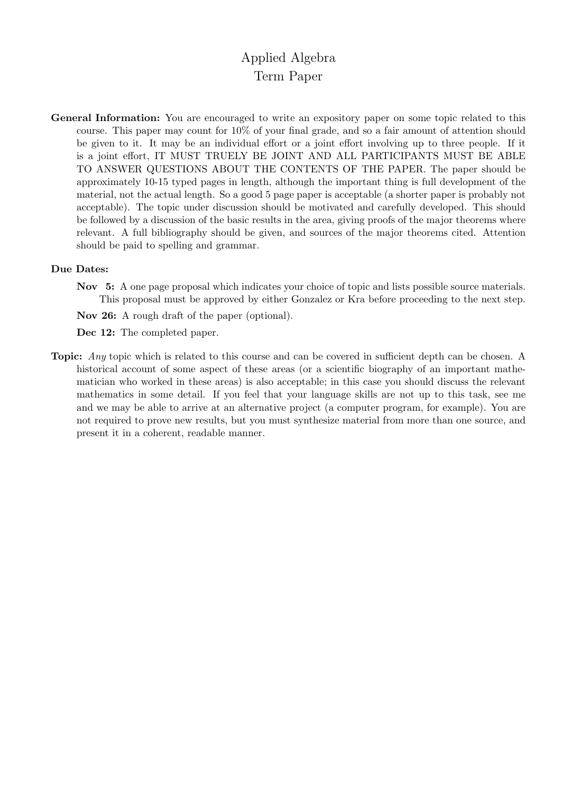## Applied Algebra Term Paper

General Information: You are encouraged to write an expository paper on some topic related to this course. This paper may count for 10% of your final grade, and so a fair amount of attention should be given to it. It may be an individual effort or a joint effort involving up to three people. If it is a joint effort, IT MUST TRUELY BE JOINT AND ALL PARTICIPANTS MUST BE ABLE TO ANSWER QUESTIONS ABOUT THE CONTENTS OF THE PAPER. The paper should be approximately 10-15 typed pages in length, although the important thing is full development of the material, not the actual length. So a good 5 page paper is acceptable (a shorter paper is probably not acceptable). The topic under discussion should be motivated and carefully developed. This should be followed by a discussion of the basic results in the area, giving proofs of the major theorems where relevant. A full bibliography should be given, and sources of the major theorems cited. Attention should be paid to spelling and grammar.

## Due Dates:

- Nov 5: A one page proposal which indicates your choice of topic and lists possible source materials. This proposal must be approved by either Gonzalez or Kra before proceeding to the next step.
- Nov 26: A rough draft of the paper (optional).
- Dec 12: The completed paper.
- **Topic:** Any topic which is related to this course and can be covered in sufficient depth can be chosen. A historical account of some aspect of these areas (or a scientific biography of an important mathematician who worked in these areas) is also acceptable; in this case you should discuss the relevant mathematics in some detail. If you feel that your language skills are not up to this task, see me and we may be able to arrive at an alternative project (a computer program, for example). You are not required to prove new results, but you must synthesize material from more than one source, and present it in a coherent, readable manner.